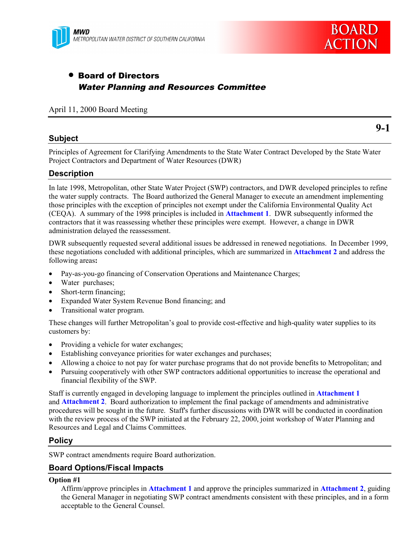



# • Board of Directors Water Planning and Resources Committee

#### April 11, 2000 Board Meeting

### **Subject**

**9-1**

Principles of Agreement for Clarifying Amendments to the State Water Contract Developed by the State Water Project Contractors and Department of Water Resources (DWR)

### **Description**

In late 1998, Metropolitan, other State Water Project (SWP) contractors, and DWR developed principles to refine the water supply contracts. The Board authorized the General Manager to execute an amendment implementing those principles with the exception of principles not exempt under the California Environmental Quality Act (CEQA). A summary of the 1998 principles is included in **Attachment 1**. DWR subsequently informed the contractors that it was reassessing whether these principles were exempt. However, a change in DWR administration delayed the reassessment.

DWR subsequently requested several additional issues be addressed in renewed negotiations. In December 1999, these negotiations concluded with additional principles, which are summarized in **Attachment 2** and address the following areas**:**

- Pay-as-you-go financing of Conservation Operations and Maintenance Charges;
- Water purchases;
- Short-term financing:
- Expanded Water System Revenue Bond financing; and
- Transitional water program.

These changes will further Metropolitan's goal to provide cost-effective and high-quality water supplies to its customers by:

- Providing a vehicle for water exchanges;
- Establishing conveyance priorities for water exchanges and purchases;
- Allowing a choice to not pay for water purchase programs that do not provide benefits to Metropolitan; and
- Pursuing cooperatively with other SWP contractors additional opportunities to increase the operational and financial flexibility of the SWP.

Staff is currently engaged in developing language to implement the principles outlined in **Attachment 1** and **Attachment 2**. Board authorization to implement the final package of amendments and administrative procedures will be sought in the future. Staff's further discussions with DWR will be conducted in coordination with the review process of the SWP initiated at the February 22, 2000, joint workshop of Water Planning and Resources and Legal and Claims Committees.

### **Policy**

SWP contract amendments require Board authorization.

### **Board Options/Fiscal Impacts**

#### **Option #1**

Affirm/approve principles in **Attachment 1** and approve the principles summarized in **Attachment 2**, guiding the General Manager in negotiating SWP contract amendments consistent with these principles, and in a form acceptable to the General Counsel.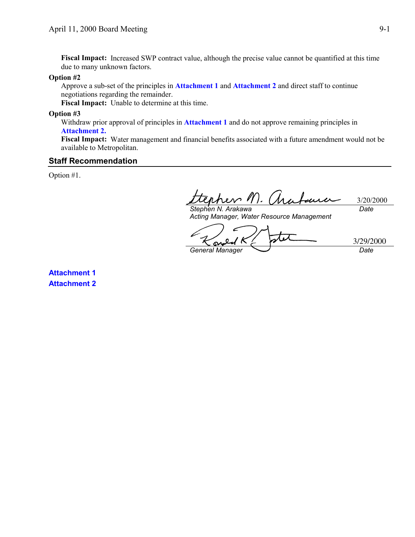**Fiscal Impact:** Increased SWP contract value, although the precise value cannot be quantified at this time due to many unknown factors.

#### **Option #2**

Approve a sub-set of the principles in **Attachment 1** and **Attachment 2** and direct staff to continue negotiations regarding the remainder.

**Fiscal Impact:** Unable to determine at this time.

#### **Option #3**

Withdraw prior approval of principles in **Attachment 1** and do not approve remaining principles in **Attachment 2.**

**Fiscal Impact:** Water management and financial benefits associated with a future amendment would not be available to Metropolitan.

### **Staff Recommendation**

Option #1.

 $\mathbb{R}$   $\wedge$   $\sim$   $\ell$ 3/20/2000 *Date Stephen N. Arakawa*

*Acting Manager, Water Resource Management*

Ş *General Manager Date*

3/29/2000

**Attachment 1 Attachment 2**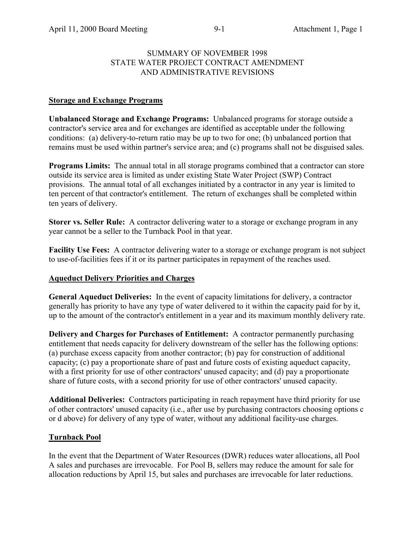### SUMMARY OF NOVEMBER 1998 STATE WATER PROJECT CONTRACT AMENDMENT AND ADMINISTRATIVE REVISIONS

### **Storage and Exchange Programs**

**Unbalanced Storage and Exchange Programs:** Unbalanced programs for storage outside a contractor's service area and for exchanges are identified as acceptable under the following conditions: (a) delivery-to-return ratio may be up to two for one; (b) unbalanced portion that remains must be used within partner's service area; and (c) programs shall not be disguised sales.

**Programs Limits:** The annual total in all storage programs combined that a contractor can store outside its service area is limited as under existing State Water Project (SWP) Contract provisions. The annual total of all exchanges initiated by a contractor in any year is limited to ten percent of that contractor's entitlement. The return of exchanges shall be completed within ten years of delivery.

**Storer vs. Seller Rule:** A contractor delivering water to a storage or exchange program in any year cannot be a seller to the Turnback Pool in that year.

**Facility Use Fees:** A contractor delivering water to a storage or exchange program is not subject to use-of-facilities fees if it or its partner participates in repayment of the reaches used.

### **Aqueduct Delivery Priorities and Charges**

**General Aqueduct Deliveries:** In the event of capacity limitations for delivery, a contractor generally has priority to have any type of water delivered to it within the capacity paid for by it, up to the amount of the contractor's entitlement in a year and its maximum monthly delivery rate.

**Delivery and Charges for Purchases of Entitlement:** A contractor permanently purchasing entitlement that needs capacity for delivery downstream of the seller has the following options: (a) purchase excess capacity from another contractor; (b) pay for construction of additional capacity; (c) pay a proportionate share of past and future costs of existing aqueduct capacity, with a first priority for use of other contractors' unused capacity; and (d) pay a proportionate share of future costs, with a second priority for use of other contractors' unused capacity.

**Additional Deliveries:** Contractors participating in reach repayment have third priority for use of other contractors' unused capacity (i.e., after use by purchasing contractors choosing options c or d above) for delivery of any type of water, without any additional facility-use charges.

### **Turnback Pool**

In the event that the Department of Water Resources (DWR) reduces water allocations, all Pool A sales and purchases are irrevocable. For Pool B, sellers may reduce the amount for sale for allocation reductions by April 15, but sales and purchases are irrevocable for later reductions.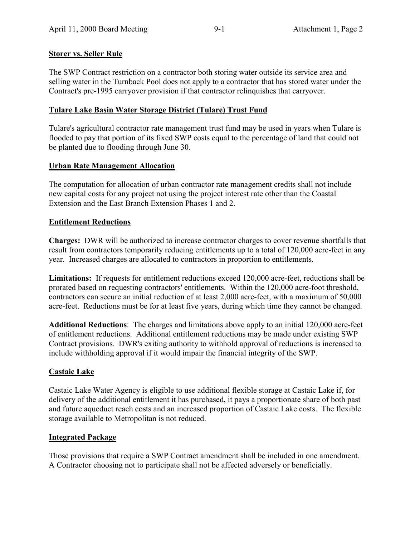# **Storer vs. Seller Rule**

The SWP Contract restriction on a contractor both storing water outside its service area and selling water in the Turnback Pool does not apply to a contractor that has stored water under the Contract's pre-1995 carryover provision if that contractor relinquishes that carryover.

# **Tulare Lake Basin Water Storage District (Tulare) Trust Fund**

Tulare's agricultural contractor rate management trust fund may be used in years when Tulare is flooded to pay that portion of its fixed SWP costs equal to the percentage of land that could not be planted due to flooding through June 30.

# **Urban Rate Management Allocation**

The computation for allocation of urban contractor rate management credits shall not include new capital costs for any project not using the project interest rate other than the Coastal Extension and the East Branch Extension Phases 1 and 2.

# **Entitlement Reductions**

**Charges:** DWR will be authorized to increase contractor charges to cover revenue shortfalls that result from contractors temporarily reducing entitlements up to a total of 120,000 acre-feet in any year. Increased charges are allocated to contractors in proportion to entitlements.

**Limitations:** If requests for entitlement reductions exceed 120,000 acre-feet, reductions shall be prorated based on requesting contractors' entitlements. Within the 120,000 acre-foot threshold, contractors can secure an initial reduction of at least 2,000 acre-feet, with a maximum of 50,000 acre-feet. Reductions must be for at least five years, during which time they cannot be changed.

**Additional Reductions**: The charges and limitations above apply to an initial 120,000 acre-feet of entitlement reductions. Additional entitlement reductions may be made under existing SWP Contract provisions. DWR's exiting authority to withhold approval of reductions is increased to include withholding approval if it would impair the financial integrity of the SWP.

# **Castaic Lake**

Castaic Lake Water Agency is eligible to use additional flexible storage at Castaic Lake if, for delivery of the additional entitlement it has purchased, it pays a proportionate share of both past and future aqueduct reach costs and an increased proportion of Castaic Lake costs. The flexible storage available to Metropolitan is not reduced.

# **Integrated Package**

Those provisions that require a SWP Contract amendment shall be included in one amendment. A Contractor choosing not to participate shall not be affected adversely or beneficially.